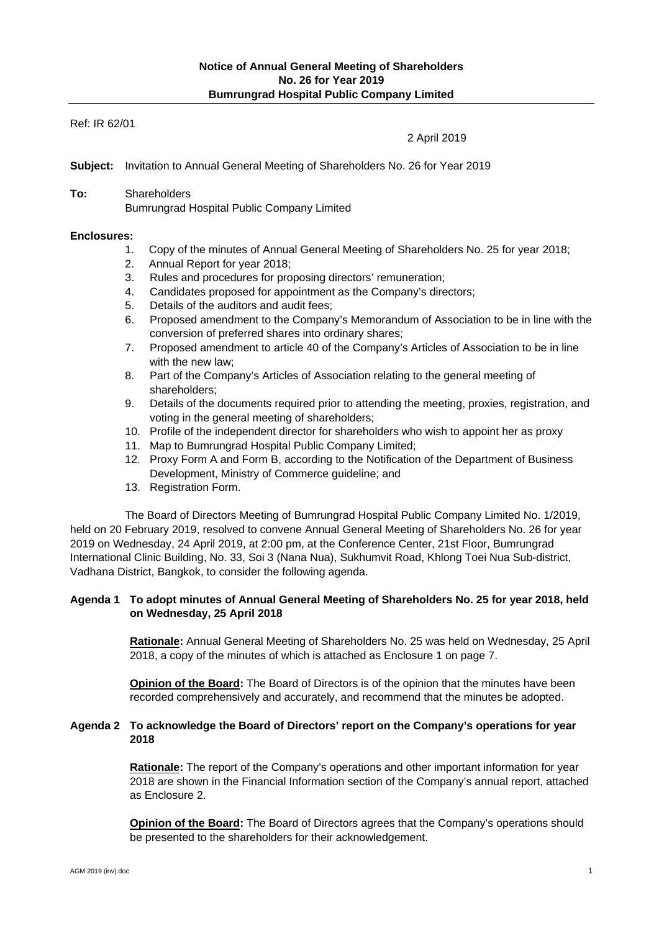## Ref: IR 62/01

2 April 2019

**Subject:** Invitation to Annual General Meeting of Shareholders No. 26 for Year 2019

**To:** Shareholders Bumrungrad Hospital Public Company Limited

### **Enclosures:**

- 1. Copy of the minutes of Annual General Meeting of Shareholders No. 25 for year 2018;
- 2. Annual Report for year 2018;
- 3. Rules and procedures for proposing directors' remuneration;
- 4. Candidates proposed for appointment as the Company's directors;
- 5. Details of the auditors and audit fees;
- 6. Proposed amendment to the Company's Memorandum of Association to be in line with the conversion of preferred shares into ordinary shares;
- 7. Proposed amendment to article 40 of the Company's Articles of Association to be in line with the new law:
- 8. Part of the Company's Articles of Association relating to the general meeting of shareholders;
- 9. Details of the documents required prior to attending the meeting, proxies, registration, and voting in the general meeting of shareholders;
- 10. Profile of the independent director for shareholders who wish to appoint her as proxy
- 11. Map to Bumrungrad Hospital Public Company Limited;
- 12. Proxy Form A and Form B, according to the Notification of the Department of Business Development, Ministry of Commerce guideline; and
- 13. Registration Form.

The Board of Directors Meeting of Bumrungrad Hospital Public Company Limited No. 1/2019, held on 20 February 2019, resolved to convene Annual General Meeting of Shareholders No. 26 for year 2019 on Wednesday, 24 April 2019, at 2:00 pm, at the Conference Center, 21st Floor, Bumrungrad International Clinic Building, No. 33, Soi 3 (Nana Nua), Sukhumvit Road, Khlong Toei Nua Sub-district, Vadhana District, Bangkok, to consider the following agenda.

# **Agenda 1 To adopt minutes of Annual General Meeting of Shareholders No. 25 for year 2018, held on Wednesday, 25 April 2018**

**Rationale:** Annual General Meeting of Shareholders No. 25 was held on Wednesday, 25 April 2018, a copy of the minutes of which is attached as Enclosure 1 on page 7.

**Opinion of the Board:** The Board of Directors is of the opinion that the minutes have been recorded comprehensively and accurately, and recommend that the minutes be adopted.

## **Agenda 2 To acknowledge the Board of Directors' report on the Company's operations for year 2018**

**Rationale:** The report of the Company's operations and other important information for year 2018 are shown in the Financial Information section of the Company's annual report, attached as Enclosure 2.

**Opinion of the Board:** The Board of Directors agrees that the Company's operations should be presented to the shareholders for their acknowledgement.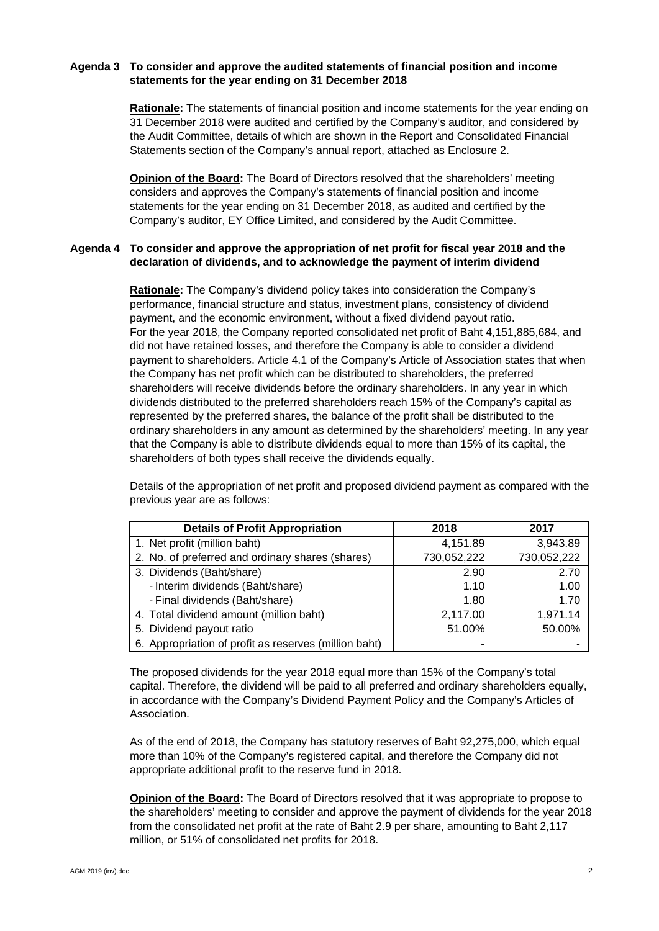# **Agenda 3 To consider and approve the audited statements of financial position and income statements for the year ending on 31 December 2018**

**Rationale:** The statements of financial position and income statements for the year ending on 31 December 2018 were audited and certified by the Company's auditor, and considered by the Audit Committee, details of which are shown in the Report and Consolidated Financial Statements section of the Company's annual report, attached as Enclosure 2.

**Opinion of the Board:** The Board of Directors resolved that the shareholders' meeting considers and approves the Company's statements of financial position and income statements for the year ending on 31 December 2018, as audited and certified by the Company's auditor, EY Office Limited, and considered by the Audit Committee.

# **Agenda 4 To consider and approve the appropriation of net profit for fiscal year 2018 and the declaration of dividends, and to acknowledge the payment of interim dividend**

**Rationale:** The Company's dividend policy takes into consideration the Company's performance, financial structure and status, investment plans, consistency of dividend payment, and the economic environment, without a fixed dividend payout ratio. For the year 2018, the Company reported consolidated net profit of Baht 4,151,885,684, and did not have retained losses, and therefore the Company is able to consider a dividend payment to shareholders. Article 4.1 of the Company's Article of Association states that when the Company has net profit which can be distributed to shareholders, the preferred shareholders will receive dividends before the ordinary shareholders. In any year in which dividends distributed to the preferred shareholders reach 15% of the Company's capital as represented by the preferred shares, the balance of the profit shall be distributed to the ordinary shareholders in any amount as determined by the shareholders' meeting. In any year that the Company is able to distribute dividends equal to more than 15% of its capital, the shareholders of both types shall receive the dividends equally.

Details of the appropriation of net profit and proposed dividend payment as compared with the previous year are as follows:

| <b>Details of Profit Appropriation</b>                | 2018        | 2017        |
|-------------------------------------------------------|-------------|-------------|
| 1. Net profit (million baht)                          | 4,151.89    | 3,943.89    |
| 2. No. of preferred and ordinary shares (shares)      | 730,052,222 | 730,052,222 |
| 3. Dividends (Baht/share)                             | 2.90        | 2.70        |
| - Interim dividends (Baht/share)                      | 1.10        | 1.00        |
| - Final dividends (Baht/share)                        | 1.80        | 1.70        |
| 4. Total dividend amount (million baht)               | 2,117.00    | 1,971.14    |
| 5. Dividend payout ratio                              | 51.00%      | 50.00%      |
| 6. Appropriation of profit as reserves (million baht) | -           |             |

The proposed dividends for the year 2018 equal more than 15% of the Company's total capital. Therefore, the dividend will be paid to all preferred and ordinary shareholders equally, in accordance with the Company's Dividend Payment Policy and the Company's Articles of Association.

As of the end of 2018, the Company has statutory reserves of Baht 92,275,000, which equal more than 10% of the Company's registered capital, and therefore the Company did not appropriate additional profit to the reserve fund in 2018.

**Opinion of the Board:** The Board of Directors resolved that it was appropriate to propose to the shareholders' meeting to consider and approve the payment of dividends for the year 2018 from the consolidated net profit at the rate of Baht 2.9 per share, amounting to Baht 2,117 million, or 51% of consolidated net profits for 2018.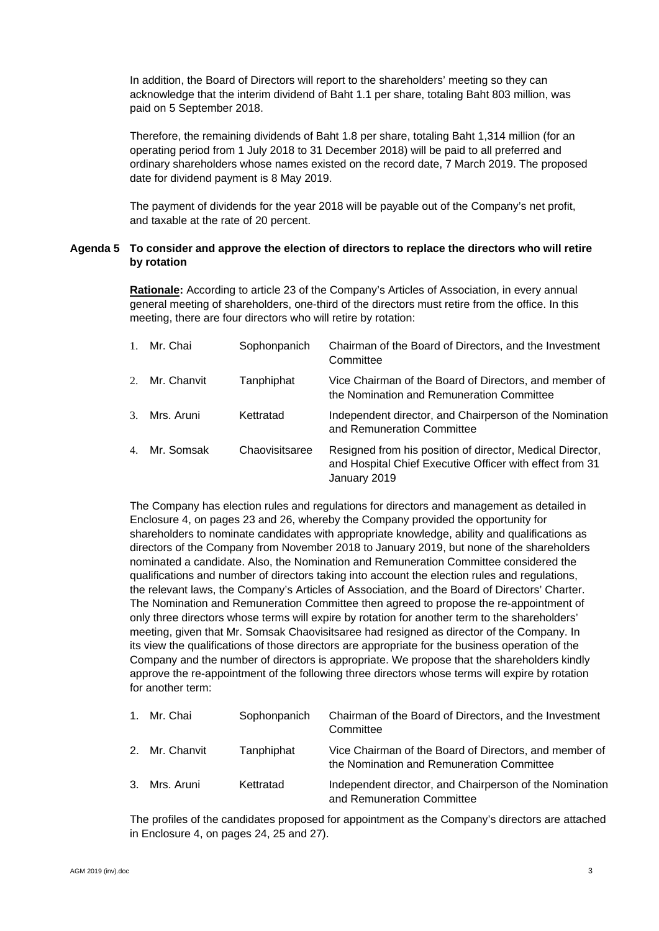In addition, the Board of Directors will report to the shareholders' meeting so they can acknowledge that the interim dividend of Baht 1.1 per share, totaling Baht 803 million, was paid on 5 September 2018.

Therefore, the remaining dividends of Baht 1.8 per share, totaling Baht 1,314 million (for an operating period from 1 July 2018 to 31 December 2018) will be paid to all preferred and ordinary shareholders whose names existed on the record date, 7 March 2019. The proposed date for dividend payment is 8 May 2019.

The payment of dividends for the year 2018 will be payable out of the Company's net profit, and taxable at the rate of 20 percent.

# **Agenda 5 To consider and approve the election of directors to replace the directors who will retire by rotation**

**Rationale:** According to article 23 of the Company's Articles of Association, in every annual general meeting of shareholders, one-third of the directors must retire from the office. In this meeting, there are four directors who will retire by rotation:

| $\mathbf{1}$ . | Mr. Chai       | Sophonpanich   | Chairman of the Board of Directors, and the Investment<br>Committee                                                                   |
|----------------|----------------|----------------|---------------------------------------------------------------------------------------------------------------------------------------|
|                | 2. Mr. Chanvit | Tanphiphat     | Vice Chairman of the Board of Directors, and member of<br>the Nomination and Remuneration Committee                                   |
|                | 3. Mrs. Aruni  | Kettratad      | Independent director, and Chairperson of the Nomination<br>and Remuneration Committee                                                 |
|                | 4. Mr. Somsak  | Chaovisitsaree | Resigned from his position of director, Medical Director,<br>and Hospital Chief Executive Officer with effect from 31<br>January 2019 |

The Company has election rules and regulations for directors and management as detailed in Enclosure 4, on pages 23 and 26, whereby the Company provided the opportunity for shareholders to nominate candidates with appropriate knowledge, ability and qualifications as directors of the Company from November 2018 to January 2019, but none of the shareholders nominated a candidate. Also, the Nomination and Remuneration Committee considered the qualifications and number of directors taking into account the election rules and regulations, the relevant laws, the Company's Articles of Association, and the Board of Directors' Charter. The Nomination and Remuneration Committee then agreed to propose the re-appointment of only three directors whose terms will expire by rotation for another term to the shareholders' meeting, given that Mr. Somsak Chaovisitsaree had resigned as director of the Company. In its view the qualifications of those directors are appropriate for the business operation of the Company and the number of directors is appropriate. We propose that the shareholders kindly approve the re-appointment of the following three directors whose terms will expire by rotation for another term:

| 1. Mr. Chai    | Sophonpanich | Chairman of the Board of Directors, and the Investment<br>Committee                                 |
|----------------|--------------|-----------------------------------------------------------------------------------------------------|
| 2. Mr. Chanvit | Tanphiphat   | Vice Chairman of the Board of Directors, and member of<br>the Nomination and Remuneration Committee |
| 3. Mrs. Aruni  | Kettratad    | Independent director, and Chairperson of the Nomination<br>and Remuneration Committee               |

The profiles of the candidates proposed for appointment as the Company's directors are attached in Enclosure 4, on pages 24, 25 and 27).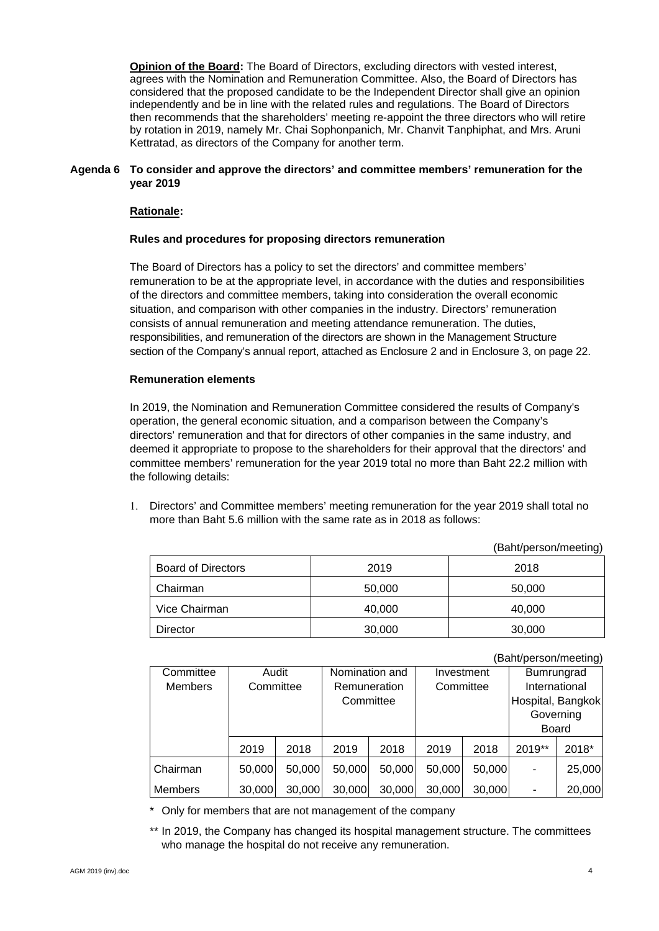**Opinion of the Board:** The Board of Directors, excluding directors with vested interest, agrees with the Nomination and Remuneration Committee. Also, the Board of Directors has considered that the proposed candidate to be the Independent Director shall give an opinion independently and be in line with the related rules and regulations. The Board of Directors then recommends that the shareholders' meeting re-appoint the three directors who will retire by rotation in 2019, namely Mr. Chai Sophonpanich, Mr. Chanvit Tanphiphat, and Mrs. Aruni Kettratad, as directors of the Company for another term.

## **Agenda 6 To consider and approve the directors' and committee members' remuneration for the year 2019**

# **Rationale:**

### **Rules and procedures for proposing directors remuneration**

The Board of Directors has a policy to set the directors' and committee members' remuneration to be at the appropriate level, in accordance with the duties and responsibilities of the directors and committee members, taking into consideration the overall economic situation, and comparison with other companies in the industry. Directors' remuneration consists of annual remuneration and meeting attendance remuneration. The duties, responsibilities, and remuneration of the directors are shown in the Management Structure section of the Company's annual report, attached as Enclosure 2 and in Enclosure 3, on page 22.

### **Remuneration elements**

In 2019, the Nomination and Remuneration Committee considered the results of Company's operation, the general economic situation, and a comparison between the Company's directors' remuneration and that for directors of other companies in the same industry, and deemed it appropriate to propose to the shareholders for their approval that the directors' and committee members' remuneration for the year 2019 total no more than Baht 22.2 million with the following details:

 Directors' and Committee members' meeting remuneration for the year 2019 shall total no more than Baht 5.6 million with the same rate as in 2018 as follows:

(Baht/person/meeting)

|                           |        | $\cdot$ |
|---------------------------|--------|---------|
| <b>Board of Directors</b> | 2019   | 2018    |
| Chairman                  | 50,000 | 50,000  |
| Vice Chairman             | 40,000 | 40,000  |
| Director                  | 30,000 | 30,000  |

(Baht/person/meeting)

| Committee      | Nomination and<br>Audit<br>Investment |        |              |        |           |        |                          |        |
|----------------|---------------------------------------|--------|--------------|--------|-----------|--------|--------------------------|--------|
|                |                                       |        |              |        |           |        | Bumrungrad               |        |
| <b>Members</b> | Committee                             |        | Remuneration |        | Committee |        | International            |        |
|                |                                       |        | Committee    |        |           |        | Hospital, Bangkok        |        |
|                |                                       |        |              |        |           |        | Governing                |        |
|                |                                       |        |              |        |           |        | <b>Board</b>             |        |
|                | 2019                                  | 2018   | 2019         | 2018   | 2019      | 2018   | 2019**                   | 2018*  |
| Chairman       | 50,000                                | 50,000 | 50,000       | 50,000 | 50,000    | 50,000 | ٠                        | 25,000 |
| <b>Members</b> | 30,000                                | 30,000 | 30,000       | 30,000 | 30,000    | 30,000 | $\overline{\phantom{a}}$ | 20,000 |

\* Only for members that are not management of the company

\*\* In 2019, the Company has changed its hospital management structure. The committees who manage the hospital do not receive any remuneration.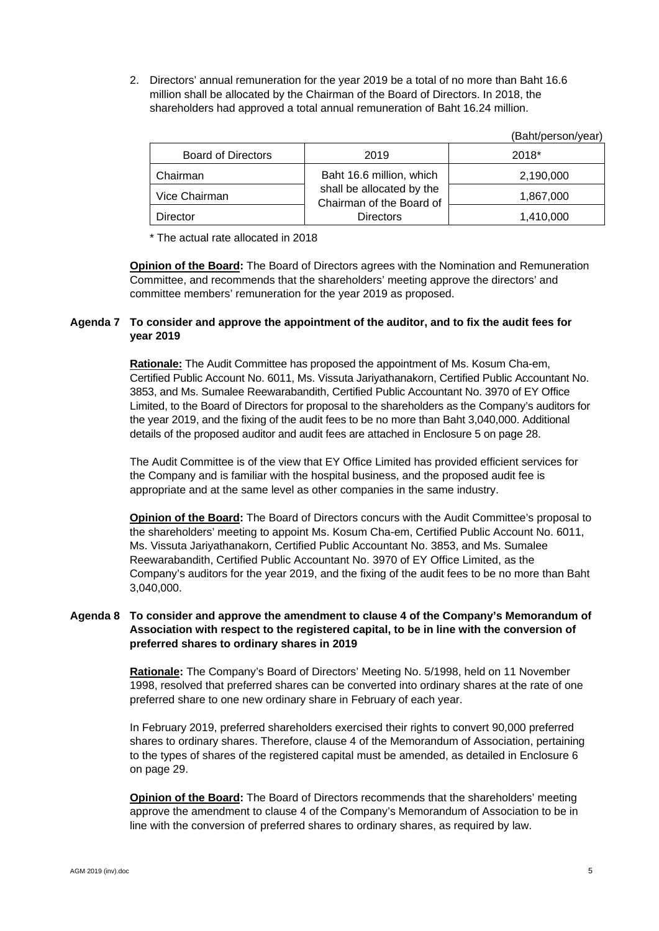2. Directors' annual remuneration for the year 2019 be a total of no more than Baht 16.6 million shall be allocated by the Chairman of the Board of Directors. In 2018, the shareholders had approved a total annual remuneration of Baht 16.24 million.

|                           |                                                       | ι Daniv ναι ιν ναι ι |
|---------------------------|-------------------------------------------------------|----------------------|
| <b>Board of Directors</b> | 2019                                                  | $2018*$              |
| Chairman                  | Baht 16.6 million, which                              | 2,190,000            |
| Vice Chairman             | shall be allocated by the<br>Chairman of the Board of | 1,867,000            |
| Director                  | <b>Directors</b>                                      | 1,410,000            |

\* The actual rate allocated in 2018

**Opinion of the Board:** The Board of Directors agrees with the Nomination and Remuneration Committee, and recommends that the shareholders' meeting approve the directors' and committee members' remuneration for the year 2019 as proposed.

# **Agenda 7 To consider and approve the appointment of the auditor, and to fix the audit fees for year 2019**

**Rationale:** The Audit Committee has proposed the appointment of Ms. Kosum Cha-em, Certified Public Account No. 6011, Ms. Vissuta Jariyathanakorn, Certified Public Accountant No. 3853, and Ms. Sumalee Reewarabandith, Certified Public Accountant No. 3970 of EY Office Limited, to the Board of Directors for proposal to the shareholders as the Company's auditors for the year 2019, and the fixing of the audit fees to be no more than Baht 3,040,000. Additional details of the proposed auditor and audit fees are attached in Enclosure 5 on page 28.

The Audit Committee is of the view that EY Office Limited has provided efficient services for the Company and is familiar with the hospital business, and the proposed audit fee is appropriate and at the same level as other companies in the same industry.

**Opinion of the Board:** The Board of Directors concurs with the Audit Committee's proposal to the shareholders' meeting to appoint Ms. Kosum Cha-em, Certified Public Account No. 6011, Ms. Vissuta Jariyathanakorn, Certified Public Accountant No. 3853, and Ms. Sumalee Reewarabandith, Certified Public Accountant No. 3970 of EY Office Limited, as the Company's auditors for the year 2019, and the fixing of the audit fees to be no more than Baht 3,040,000.

# **Agenda 8 To consider and approve the amendment to clause 4 of the Company's Memorandum of Association with respect to the registered capital, to be in line with the conversion of preferred shares to ordinary shares in 2019**

**Rationale:** The Company's Board of Directors' Meeting No. 5/1998, held on 11 November 1998, resolved that preferred shares can be converted into ordinary shares at the rate of one preferred share to one new ordinary share in February of each year.

In February 2019, preferred shareholders exercised their rights to convert 90,000 preferred shares to ordinary shares. Therefore, clause 4 of the Memorandum of Association, pertaining to the types of shares of the registered capital must be amended, as detailed in Enclosure 6 on page 29.

**Opinion of the Board:** The Board of Directors recommends that the shareholders' meeting approve the amendment to clause 4 of the Company's Memorandum of Association to be in line with the conversion of preferred shares to ordinary shares, as required by law.

(Baht/person/year)